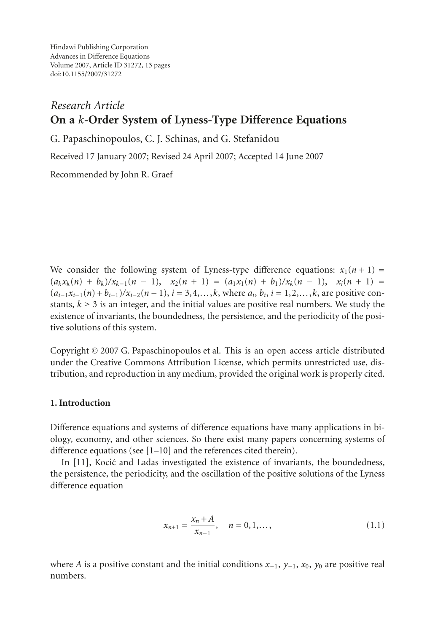Hindawi Publishing Corporation Advances in Difference Equations Volume 2007, Article ID 31272, [13](#page-11-0) pages doi:10.1155/2007/31272

# *Research Article* **On a** *k***-Order System of Lyness-Type Difference Equations**

G. Papaschinopoulos, C. J. Schinas, and G. Stefanidou

Received 17 January 2007; Revised 24 April 2007; Accepted 14 June 2007

Recommended by John R. Graef

We consider the following system of Lyness-type difference equations:  $x_1(n + 1) =$  $(a_k x_k(n) + b_k)/x_{k-1}(n-1), x_2(n+1) = (a_1 x_1(n) + b_1)/x_k(n-1), x_i(n+1) =$  $(a_{i-1}x_{i-1}(n) + b_{i-1})/x_{i-2}(n-1)$ ,  $i = 3, 4, \ldots, k$ , where  $a_i, b_i, i = 1, 2, \ldots, k$ , are positive constants,  $k \geq 3$  is an integer, and the initial values are positive real numbers. We study the existence of invariants, the boundedness, the persistence, and the periodicity of the positive solutions of this system.

Copyright © 2007 G. Papaschinopoulos et al. This is an open access article distributed under the Creative Commons Attribution License, which permits unrestricted use, distribution, and reproduction in any medium, provided the original work is properly cited.

### **1. Introduction**

Difference equations and systems of difference equations have many applications in biology, economy, and other sciences. So there exist many papers concerning systems of difference equations (see [\[1](#page-11-1)[–10\]](#page-12-0) and the references cited therein).

In  $[11]$  $[11]$ , Kocić and Ladas investigated the existence of invariants, the boundedness, the persistence, the periodicity, and the oscillation of the positive solutions of the Lyness difference equation

$$
x_{n+1} = \frac{x_n + A}{x_{n-1}}, \quad n = 0, 1, \dots,
$$
\n(1.1)

where *A* is a positive constant and the initial conditions  $x_{-1}$ ,  $y_{-1}$ ,  $x_0$ ,  $y_0$  are positive real numbers.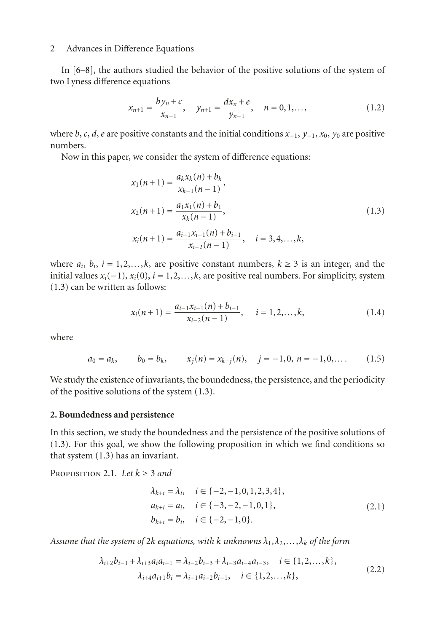In [\[6](#page-12-2)[–8\]](#page-12-3), the authors studied the behavior of the positive solutions of the system of two Lyness difference equations

$$
x_{n+1} = \frac{by_n + c}{x_{n-1}}, \quad y_{n+1} = \frac{dx_n + e}{y_{n-1}}, \quad n = 0, 1, \dots,
$$
 (1.2)

where *b*, *c*, *d*, *e* are positive constants and the initial conditions *x*−1, *y*−1, *x*0, *y*<sup>0</sup> are positive numbers.

Now in this paper, we consider the system of difference equations:

<span id="page-1-0"></span>
$$
x_1(n+1) = \frac{a_k x_k(n) + b_k}{x_{k-1}(n-1)},
$$
  
\n
$$
x_2(n+1) = \frac{a_1 x_1(n) + b_1}{x_k(n-1)},
$$
  
\n
$$
x_i(n+1) = \frac{a_{i-1} x_{i-1}(n) + b_{i-1}}{x_{i-2}(n-1)}, \quad i = 3, 4, ..., k,
$$
\n(1.3)

where  $a_i$ ,  $b_i$ ,  $i = 1, 2, \ldots, k$ , are positive constant numbers,  $k \geq 3$  is an integer, and the initial values  $x_i(-1)$ ,  $x_i(0)$ ,  $i = 1, 2, \ldots, k$ , are positive real numbers. For simplicity, system [\(1.3\)](#page-1-0) can be written as follows:

<span id="page-1-2"></span><span id="page-1-1"></span>
$$
x_i(n+1) = \frac{a_{i-1}x_{i-1}(n) + b_{i-1}}{x_{i-2}(n-1)}, \quad i = 1, 2, \dots, k,
$$
 (1.4)

where

$$
a_0 = a_k, \qquad b_0 = b_k, \qquad x_j(n) = x_{k+j}(n), \quad j = -1, 0, n = -1, 0, \ldots \tag{1.5}
$$

We study the existence of invariants, the boundedness, the persistence, and the periodicity of the positive solutions of the system [\(1.3\)](#page-1-0).

#### **2. Boundedness and persistence**

In this section, we study the boundedness and the persistence of the positive solutions of [\(1.3\)](#page-1-0). For this goal, we show the following proposition in which we find conditions so that system [\(1.3\)](#page-1-0) has an invariant.

PROPOSITION 2.1. Let  $k \geq 3$  and

<span id="page-1-4"></span><span id="page-1-3"></span>
$$
\lambda_{k+i} = \lambda_i, \quad i \in \{-2, -1, 0, 1, 2, 3, 4\}, \n a_{k+i} = a_i, \quad i \in \{-3, -2, -1, 0, 1\}, \n b_{k+i} = b_i, \quad i \in \{-2, -1, 0\}.
$$
\n(2.1)

*Assume that the system of* 2*k equations, with k unknowns*  $\lambda_1, \lambda_2, \ldots, \lambda_k$  *of the form* 

$$
\lambda_{i+2}b_{i-1} + \lambda_{i+3}a_i a_{i-1} = \lambda_{i-2}b_{i-3} + \lambda_{i-3}a_{i-4}a_{i-3}, \quad i \in \{1, 2, ..., k\},
$$
  

$$
\lambda_{i+4}a_{i+1}b_i = \lambda_{i-1}a_{i-2}b_{i-1}, \quad i \in \{1, 2, ..., k\},
$$
 (2.2)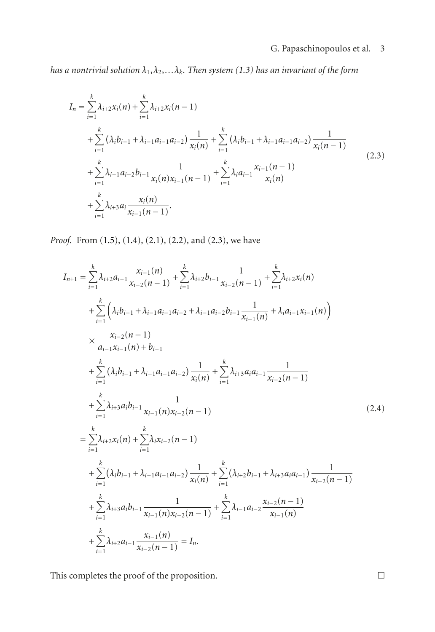# <span id="page-2-0"></span>G. Papaschinopoulos et al. 3

*has a nontrivial solution*  $\lambda_1, \lambda_2, \ldots, \lambda_k$ *. Then system* [\(1.3\)](#page-1-0) *has an invariant of the form* 

$$
I_{n} = \sum_{i=1}^{k} \lambda_{i+2} x_{i}(n) + \sum_{i=1}^{k} \lambda_{i+2} x_{i}(n-1)
$$
  
+ 
$$
\sum_{i=1}^{k} (\lambda_{i} b_{i-1} + \lambda_{i-1} a_{i-1} a_{i-2}) \frac{1}{x_{i}(n)} + \sum_{i=1}^{k} (\lambda_{i} b_{i-1} + \lambda_{i-1} a_{i-1} a_{i-2}) \frac{1}{x_{i}(n-1)}
$$
  
+ 
$$
\sum_{i=1}^{k} \lambda_{i-1} a_{i-2} b_{i-1} \frac{1}{x_{i}(n) x_{i-1}(n-1)} + \sum_{i=1}^{k} \lambda_{i} a_{i-1} \frac{x_{i-1}(n-1)}{x_{i}(n)}
$$
  
+ 
$$
\sum_{i=1}^{k} \lambda_{i+3} a_{i} \frac{x_{i}(n)}{x_{i-1}(n-1)}.
$$
 (2.3)

*Proof.* From [\(1.5\)](#page-1-1), [\(1.4\)](#page-1-2), [\(2.1\)](#page-1-3), [\(2.2\)](#page-1-4), and [\(2.3\)](#page-2-0), we have

$$
I_{n+1} = \sum_{i=1}^{k} \lambda_{i+2} a_{i-1} \frac{x_{i-1}(n)}{x_{i-2}(n-1)} + \sum_{i=1}^{k} \lambda_{i+2} b_{i-1} \frac{1}{x_{i-2}(n-1)} + \sum_{i=1}^{k} \lambda_{i+2} x_{i}(n)
$$
  
+ 
$$
\sum_{i=1}^{k} \left( \lambda_{i} b_{i-1} + \lambda_{i-1} a_{i-1} a_{i-2} + \lambda_{i-1} a_{i-2} b_{i-1} \frac{1}{x_{i-1}(n)} + \lambda_{i} a_{i-1} x_{i-1}(n) \right)
$$
  

$$
\times \frac{x_{i-2}(n-1)}{a_{i-1} x_{i-1}(n) + b_{i-1}}
$$
  
+ 
$$
\sum_{i=1}^{k} (\lambda_{i} b_{i-1} + \lambda_{i-1} a_{i-1} a_{i-2}) \frac{1}{x_{i}(n)} + \sum_{i=1}^{k} \lambda_{i+3} a_{i} a_{i-1} \frac{1}{x_{i-2}(n-1)}
$$
  
+ 
$$
\sum_{i=1}^{k} \lambda_{i+3} a_{i} b_{i-1} \frac{1}{x_{i-1}(n) x_{i-2}(n-1)}
$$
  
= 
$$
\sum_{i=1}^{k} \lambda_{i+2} x_{i}(n) + \sum_{i=1}^{k} \lambda_{i} x_{i-2}(n-1)
$$
  
+ 
$$
\sum_{i=1}^{k} (\lambda_{i} b_{i-1} + \lambda_{i-1} a_{i-1} a_{i-2}) \frac{1}{x_{i}(n)} + \sum_{i=1}^{k} (\lambda_{i+2} b_{i-1} + \lambda_{i+3} a_{i} a_{i-1}) \frac{1}{x_{i-2}(n-1)}
$$
  
+ 
$$
\sum_{i=1}^{k} \lambda_{i+3} a_{i} b_{i-1} \frac{1}{x_{i-1}(n) x_{i-2}(n-1)} + \sum_{i=1}^{k} \lambda_{i-1} a_{i-2} \frac{x_{i-2}(n-1)}{x_{i-1}(n)}
$$
  
+ 
$$
\sum_{i=1}^{k} \lambda_{i+2} a_{i-1} \frac{x_{i-1}(n)}{x_{i-2}(
$$

This completes the proof of the proposition.  $\hfill \Box$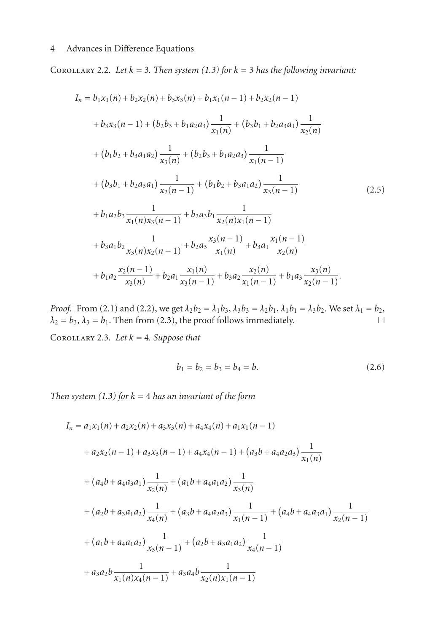COROLLARY 2.2. Let  $k = 3$ . Then system [\(1.3\)](#page-1-0) for  $k = 3$  has the following invariant:

$$
I_n = b_1x_1(n) + b_2x_2(n) + b_3x_3(n) + b_1x_1(n-1) + b_2x_2(n-1)
$$
  
+  $b_3x_3(n-1) + (b_2b_3 + b_1a_2a_3)\frac{1}{x_1(n)} + (b_3b_1 + b_2a_3a_1)\frac{1}{x_2(n)}$   
+  $(b_1b_2 + b_3a_1a_2)\frac{1}{x_3(n)} + (b_2b_3 + b_1a_2a_3)\frac{1}{x_1(n-1)}$   
+  $(b_3b_1 + b_2a_3a_1)\frac{1}{x_2(n-1)} + (b_1b_2 + b_3a_1a_2)\frac{1}{x_3(n-1)}$   
+  $b_1a_2b_3\frac{1}{x_1(n)x_3(n-1)} + b_2a_3b_1\frac{1}{x_2(n)x_1(n-1)}$   
+  $b_3a_1b_2\frac{1}{x_3(n)x_2(n-1)} + b_2a_3\frac{x_3(n-1)}{x_1(n)} + b_3a_1\frac{x_1(n-1)}{x_2(n)}$   
+  $b_1a_2\frac{x_2(n-1)}{x_3(n)} + b_2a_1\frac{x_1(n)}{x_3(n-1)} + b_3a_2\frac{x_2(n)}{x_1(n-1)} + b_1a_3\frac{x_3(n)}{x_2(n-1)}$ . (2.5)

*Proof.* From [\(2.1\)](#page-1-3) and [\(2.2\)](#page-1-4), we get  $\lambda_2 b_2 = \lambda_1 b_3$ ,  $\lambda_3 b_3 = \lambda_2 b_1$ ,  $\lambda_1 b_1 = \lambda_3 b_2$ . We set  $\lambda_1 = b_2$ ,  $\lambda_2 = b_3$ ,  $\lambda_3 = b_1$ . Then from (2.3), the proof follows immediately.  $\lambda_2 = b_3$ ,  $\lambda_3 = b_1$ . Then from [\(2.3\)](#page-2-0), the proof follows immediately.

Corollary 2.3. *Let k* = 4*. Suppose that*

<span id="page-3-0"></span>
$$
b_1 = b_2 = b_3 = b_4 = b. \t\t(2.6)
$$

*Then system [\(1.3\)](#page-1-0) for*  $k = 4$  *has an invariant of the form* 

$$
I_n = a_1x_1(n) + a_2x_2(n) + a_3x_3(n) + a_4x_4(n) + a_1x_1(n-1)
$$
  
+  $a_2x_2(n-1) + a_3x_3(n-1) + a_4x_4(n-1) + (a_3b + a_4a_2a_3)\frac{1}{x_1(n)}$   
+  $(a_4b + a_4a_3a_1)\frac{1}{x_2(n)} + (a_1b + a_4a_1a_2)\frac{1}{x_3(n)}$   
+  $(a_2b + a_3a_1a_2)\frac{1}{x_4(n)} + (a_3b + a_4a_2a_3)\frac{1}{x_1(n-1)} + (a_4b + a_4a_3a_1)\frac{1}{x_2(n-1)}$   
+  $(a_1b + a_4a_1a_2)\frac{1}{x_3(n-1)} + (a_2b + a_3a_1a_2)\frac{1}{x_4(n-1)}$   
+  $a_3a_2b\frac{1}{x_1(n)x_4(n-1)} + a_3a_4b\frac{1}{x_2(n)x_1(n-1)}$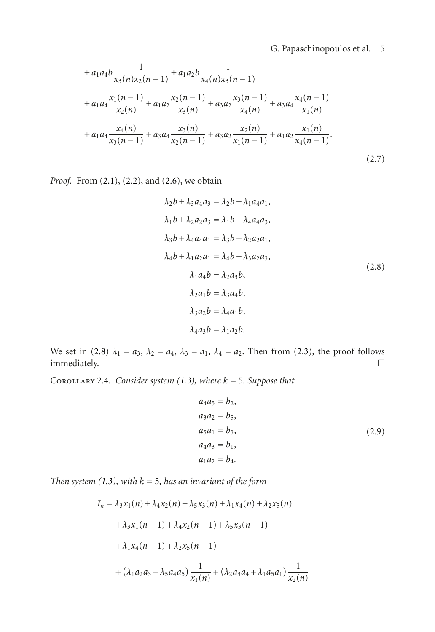## G. Papaschinopoulos et al. 5

$$
+ a_1 a_4 b \frac{1}{x_3(n)x_2(n-1)} + a_1 a_2 b \frac{1}{x_4(n)x_3(n-1)}
$$
  
+ 
$$
a_1 a_4 \frac{x_1(n-1)}{x_2(n)} + a_1 a_2 \frac{x_2(n-1)}{x_3(n)} + a_3 a_2 \frac{x_3(n-1)}{x_4(n)} + a_3 a_4 \frac{x_4(n-1)}{x_1(n)}
$$
  
+ 
$$
a_1 a_4 \frac{x_4(n)}{x_3(n-1)} + a_3 a_4 \frac{x_3(n)}{x_2(n-1)} + a_3 a_2 \frac{x_2(n)}{x_1(n-1)} + a_1 a_2 \frac{x_1(n)}{x_4(n-1)}
$$
  
(2.7)

*Proof.* From [\(2.1\)](#page-1-3), [\(2.2\)](#page-1-4), and [\(2.6\)](#page-3-0), we obtain

<span id="page-4-0"></span>
$$
\lambda_2 b + \lambda_3 a_4 a_3 = \lambda_2 b + \lambda_1 a_4 a_1, \n\lambda_1 b + \lambda_2 a_2 a_3 = \lambda_1 b + \lambda_4 a_4 a_3, \n\lambda_3 b + \lambda_4 a_4 a_1 = \lambda_3 b + \lambda_2 a_2 a_1, \n\lambda_4 b + \lambda_1 a_2 a_1 = \lambda_4 b + \lambda_3 a_2 a_3, \n\lambda_1 a_4 b = \lambda_2 a_3 b, \n\lambda_2 a_1 b = \lambda_3 a_4 b, \n\lambda_3 a_2 b = \lambda_4 a_1 b, \n\lambda_4 a_3 b = \lambda_1 a_2 b.
$$
\n(2.8)

We set in [\(2.8\)](#page-4-0)  $\lambda_1 = a_3$ ,  $\lambda_2 = a_4$ ,  $\lambda_3 = a_1$ ,  $\lambda_4 = a_2$ . Then from [\(2.3\)](#page-2-0), the proof follows immediately.  $\Box$ 

COROLLARY 2.4. *Consider system [\(1.3\)](#page-1-0), where*  $k = 5$ *. Suppose that* 

<span id="page-4-1"></span>
$$
a_4a_5 = b_2,a_3a_2 = b_5,a_5a_1 = b_3,a_4a_3 = b_1,a_1a_2 = b_4.
$$
 (2.9)

*Then system [\(1.3\)](#page-1-0), with*  $k = 5$ *, has an invariant of the form* 

$$
I_n = \lambda_3 x_1(n) + \lambda_4 x_2(n) + \lambda_5 x_3(n) + \lambda_1 x_4(n) + \lambda_2 x_5(n)
$$
  
+  $\lambda_3 x_1(n-1) + \lambda_4 x_2(n-1) + \lambda_5 x_3(n-1)$   
+  $\lambda_1 x_4(n-1) + \lambda_2 x_5(n-1)$   
+  $(\lambda_1 a_2 a_3 + \lambda_5 a_4 a_5) \frac{1}{x_1(n)} + (\lambda_2 a_3 a_4 + \lambda_1 a_5 a_1) \frac{1}{x_2(n)}$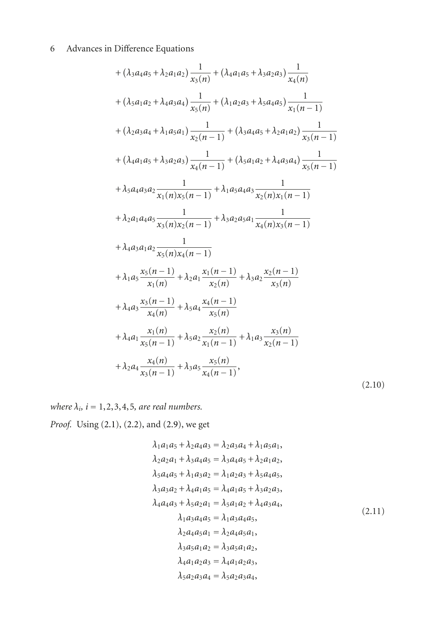+ 
$$
(\lambda_3 a_4 a_5 + \lambda_2 a_1 a_2) \frac{1}{x_3(n)} + (\lambda_4 a_1 a_5 + \lambda_3 a_2 a_3) \frac{1}{x_4(n)}
$$
  
+  $(\lambda_5 a_1 a_2 + \lambda_4 a_3 a_4) \frac{1}{x_5(n)} + (\lambda_1 a_2 a_3 + \lambda_5 a_4 a_5) \frac{1}{x_1(n-1)}$   
+  $(\lambda_2 a_3 a_4 + \lambda_1 a_5 a_1) \frac{1}{x_2(n-1)} + (\lambda_3 a_4 a_5 + \lambda_2 a_1 a_2) \frac{1}{x_3(n-1)}$   
+  $(\lambda_4 a_1 a_5 + \lambda_3 a_2 a_3) \frac{1}{x_4(n-1)} + (\lambda_5 a_1 a_2 + \lambda_4 a_3 a_4) \frac{1}{x_5(n-1)}$   
+  $\lambda_5 a_4 a_3 a_2 \frac{1}{x_1(n)x_5(n-1)} + \lambda_1 a_5 a_4 a_3 \frac{1}{x_2(n)x_1(n-1)}$   
+  $\lambda_2 a_1 a_4 a_5 \frac{1}{x_3(n)x_2(n-1)} + \lambda_3 a_2 a_5 a_1 \frac{1}{x_4(n)x_3(n-1)}$   
+  $\lambda_4 a_3 a_1 a_2 \frac{1}{x_5(n)x_4(n-1)}$   
+  $\lambda_1 a_5 \frac{x_5(n-1)}{x_1(n)} + \lambda_2 a_1 \frac{x_1(n-1)}{x_2(n)} + \lambda_3 a_2 \frac{x_2(n-1)}{x_3(n)}$   
+  $\lambda_4 a_3 \frac{x_3(n-1)}{x_4(n)} + \lambda_5 a_4 \frac{x_4(n-1)}{x_5(n)}$   
+  $\lambda_4 a_1 \frac{x_1(n)}{x_5(n-1)} + \lambda_5 a_2 \frac{x_2(n)}{x_1(n-1)} + \lambda_1 a_3 \frac{x_3(n)}{x_2(n-1)}$   
+  $\lambda_2 a_4 \frac{x_4(n)}{x_3(n-1)} + \lambda_3 a_5 \frac{x_5(n)}{x_4(n-1)}$ , (2.10)

*where*  $\lambda_i$ ,  $i = 1, 2, 3, 4, 5$ , are real numbers.

*Proof.* Using [\(2.1\)](#page-1-3), [\(2.2\)](#page-1-4), and [\(2.9\)](#page-4-1), we get

$$
\lambda_1 a_1 a_5 + \lambda_2 a_4 a_3 = \lambda_2 a_3 a_4 + \lambda_1 a_5 a_1,
$$
  
\n
$$
\lambda_2 a_2 a_1 + \lambda_3 a_4 a_5 = \lambda_3 a_4 a_5 + \lambda_2 a_1 a_2,
$$
  
\n
$$
\lambda_5 a_4 a_5 + \lambda_1 a_3 a_2 = \lambda_1 a_2 a_3 + \lambda_5 a_4 a_5,
$$
  
\n
$$
\lambda_3 a_3 a_2 + \lambda_4 a_1 a_5 = \lambda_4 a_1 a_5 + \lambda_3 a_2 a_3,
$$
  
\n
$$
\lambda_4 a_4 a_3 + \lambda_5 a_2 a_1 = \lambda_5 a_1 a_2 + \lambda_4 a_3 a_4,
$$
  
\n
$$
\lambda_1 a_3 a_4 a_5 = \lambda_1 a_3 a_4 a_5,
$$
  
\n
$$
\lambda_2 a_4 a_5 a_1 = \lambda_2 a_4 a_5 a_1,
$$
  
\n
$$
\lambda_3 a_5 a_1 a_2 = \lambda_3 a_5 a_1 a_2,
$$
  
\n
$$
\lambda_4 a_1 a_2 a_3 = \lambda_4 a_1 a_2 a_3,
$$
  
\n
$$
\lambda_5 a_2 a_3 a_4 = \lambda_5 a_2 a_3 a_4,
$$
  
\n(2.11)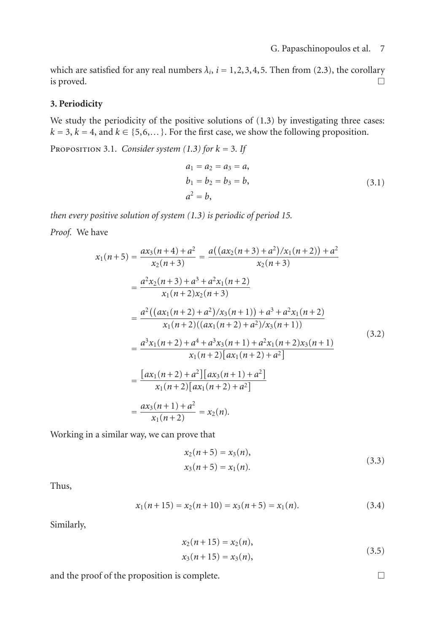which are satisfied for any real numbers  $\lambda_i$ ,  $i = 1, 2, 3, 4, 5$ . Then from [\(2.3\)](#page-2-0), the corollary is proved. is proved.  $\Box$ 

#### **3. Periodicity**

We study the periodicity of the positive solutions of  $(1.3)$  by investigating three cases:  $k = 3, k = 4$ , and  $k \in \{5, 6, \ldots\}$ . For the first case, we show the following proposition.

PROPOSITION 3.1. *Consider system [\(1.3\)](#page-1-0) for*  $k = 3$ *. If* 

$$
a_1 = a_2 = a_3 = a,b_1 = b_2 = b_3 = b,a2 = b,
$$
 (3.1)

*then every positive solution of system [\(1.3\)](#page-1-0) is periodic of period 15.*

*Proof.* We have

$$
x_1(n+5) = \frac{ax_3(n+4) + a^2}{x_2(n+3)} = \frac{a((ax_2(n+3) + a^2)/x_1(n+2)) + a^2}{x_2(n+3)}
$$
  
\n
$$
= \frac{a^2x_2(n+3) + a^3 + a^2x_1(n+2)}{x_1(n+2)x_2(n+3)}
$$
  
\n
$$
= \frac{a^2((ax_1(n+2) + a^2)/x_3(n+1)) + a^3 + a^2x_1(n+2)}{x_1(n+2)((ax_1(n+2) + a^2)/x_3(n+1))}
$$
  
\n
$$
= \frac{a^3x_1(n+2) + a^4 + a^3x_3(n+1) + a^2x_1(n+2)x_3(n+1)}{x_1(n+2)[ax_1(n+2) + a^2]}
$$
  
\n
$$
= \frac{[ax_1(n+2) + a^2][ax_3(n+1) + a^2]}{x_1(n+2)[ax_1(n+2) + a^2]}
$$
  
\n
$$
= \frac{ax_3(n+1) + a^2}{x_1(n+2)} = x_2(n).
$$
 (3.2)

Working in a similar way, we can prove that

$$
x_2(n+5) = x_3(n),
$$
  
\n
$$
x_3(n+5) = x_1(n).
$$
\n(3.3)

Thus,

$$
x_1(n+15) = x_2(n+10) = x_3(n+5) = x_1(n). \tag{3.4}
$$

Similarly,

$$
x_2(n+15) = x_2(n),
$$
  
\n
$$
x_3(n+15) = x_3(n),
$$
\n(3.5)

and the proof of the proposition is complete.  $\Box$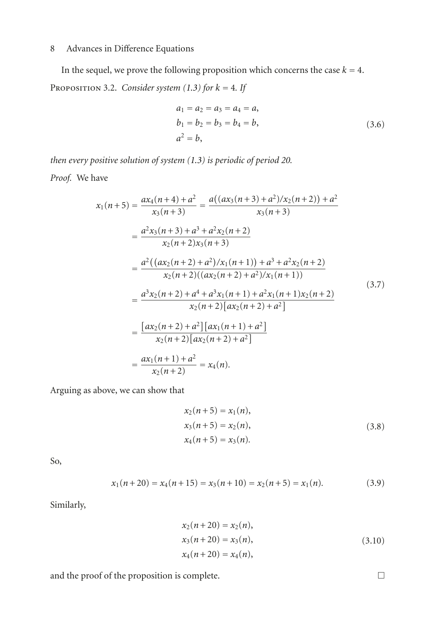In the sequel, we prove the following proposition which concerns the case  $k = 4$ . PROPOSITION 3.2. *Consider system [\(1.3\)](#page-1-0) for*  $k = 4$ *. If* 

$$
a_1 = a_2 = a_3 = a_4 = a,
$$
  
\n
$$
b_1 = b_2 = b_3 = b_4 = b,
$$
  
\n
$$
a^2 = b,
$$
\n(3.6)

*then every positive solution of system [\(1.3\)](#page-1-0) is periodic of period 20.*

*Proof.* We have

$$
x_1(n+5) = \frac{ax_4(n+4) + a^2}{x_3(n+3)} = \frac{a((ax_3(n+3) + a^2)/x_2(n+2)) + a^2}{x_3(n+3)}
$$
  
\n
$$
= \frac{a^2x_3(n+3) + a^3 + a^2x_2(n+2)}{x_2(n+2)x_3(n+3)}
$$
  
\n
$$
= \frac{a^2((ax_2(n+2) + a^2)/x_1(n+1)) + a^3 + a^2x_2(n+2))}{x_2(n+2)((ax_2(n+2) + a^2)/x_1(n+1))}
$$
  
\n
$$
= \frac{a^3x_2(n+2) + a^4 + a^3x_1(n+1) + a^2x_1(n+1)x_2(n+2)}{x_2(n+2)[ax_2(n+2) + a^2]}
$$
  
\n
$$
= \frac{[ax_2(n+2) + a^2][ax_1(n+1) + a^2]}{x_2(n+2)[ax_2(n+2) + a^2]}
$$
  
\n
$$
= \frac{ax_1(n+1) + a^2}{x_2(n+2)} = x_4(n).
$$
 (3.7)

Arguing as above, we can show that

$$
x_2(n+5) = x_1(n),
$$
  
\n
$$
x_3(n+5) = x_2(n),
$$
  
\n
$$
x_4(n+5) = x_3(n).
$$
\n(3.8)

So,

$$
x_1(n+20) = x_4(n+15) = x_3(n+10) = x_2(n+5) = x_1(n). \tag{3.9}
$$

Similarly,

$$
x_2(n+20) = x_2(n),
$$
  
\n
$$
x_3(n+20) = x_3(n),
$$
  
\n
$$
x_4(n+20) = x_4(n),
$$
  
\n(3.10)

and the proof of the proposition is complete.  $\Box$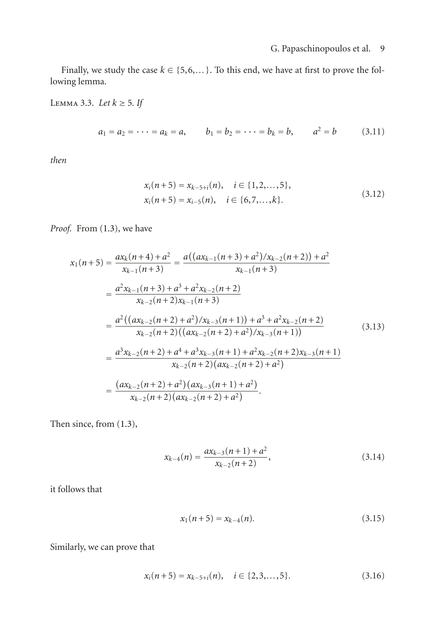Finally, we study the case  $k \in \{5, 6, \ldots\}$ . To this end, we have at first to prove the following lemma.

Lemma 3.3. *Let k* ≥ 5*. If*

$$
a_1 = a_2 = \cdots = a_k = a
$$
,  $b_1 = b_2 = \cdots = b_k = b$ ,  $a^2 = b$  (3.11)

*then*

<span id="page-8-1"></span><span id="page-8-0"></span>
$$
x_i(n+5) = x_{k-5+i}(n), \quad i \in \{1, 2, ..., 5\},
$$
  
\n
$$
x_i(n+5) = x_{i-5}(n), \quad i \in \{6, 7, ..., k\}.
$$
\n(3.12)

*Proof.* From [\(1.3\)](#page-1-0), we have

$$
x_{1}(n+5) = \frac{ax_{k}(n+4)+a^{2}}{x_{k-1}(n+3)} = \frac{a((ax_{k-1}(n+3)+a^{2})/x_{k-2}(n+2))+a^{2}}{x_{k-1}(n+3)}
$$
  
\n
$$
= \frac{a^{2}x_{k-1}(n+3)+a^{3}+a^{2}x_{k-2}(n+2)}{x_{k-2}(n+2)x_{k-1}(n+3)}
$$
  
\n
$$
= \frac{a^{2}((ax_{k-2}(n+2)+a^{2})/x_{k-3}(n+1))+a^{3}+a^{2}x_{k-2}(n+2)}{x_{k-2}(n+2)((ax_{k-2}(n+2)+a^{2})/x_{k-3}(n+1))}
$$
(3.13)  
\n
$$
= \frac{a^{3}x_{k-2}(n+2)+a^{4}+a^{3}x_{k-3}(n+1)+a^{2}x_{k-2}(n+2)x_{k-3}(n+1)}{x_{k-2}(n+2)(ax_{k-2}(n+2)+a^{2})}
$$
  
\n
$$
= \frac{(ax_{k-2}(n+2)+a^{2})(ax_{k-3}(n+1)+a^{2})}{x_{k-2}(n+2)(ax_{k-2}(n+2)+a^{2})}.
$$

Then since, from [\(1.3\)](#page-1-0),

$$
x_{k-4}(n) = \frac{ax_{k-3}(n+1) + a^2}{x_{k-2}(n+2)},
$$
\n(3.14)

it follows that

$$
x_1(n+5) = x_{k-4}(n). \tag{3.15}
$$

Similarly, we can prove that

$$
x_i(n+5) = x_{k-5+i}(n), \quad i \in \{2, 3, \dots, 5\}.
$$
 (3.16)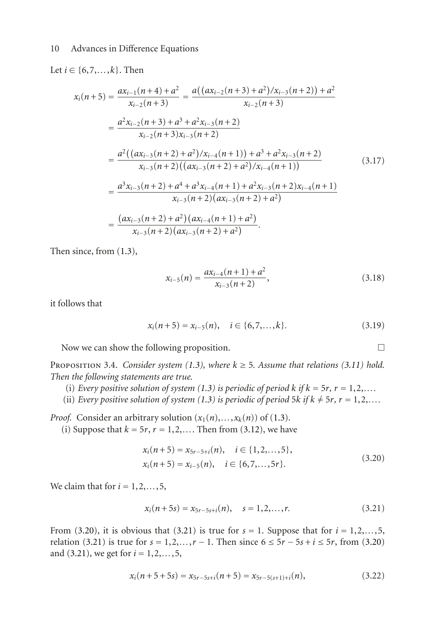#### Let *i* ∈ {6,7,...,*k*}. Then

$$
x_{i}(n+5) = \frac{ax_{i-1}(n+4) + a^{2}}{x_{i-2}(n+3)} = \frac{a((ax_{i-2}(n+3) + a^{2})/x_{i-3}(n+2)) + a^{2}}{x_{i-2}(n+3)}
$$
  
\n
$$
= \frac{a^{2}x_{i-2}(n+3) + a^{3} + a^{2}x_{i-3}(n+2)}{x_{i-2}(n+3)x_{i-3}(n+2)}
$$
  
\n
$$
= \frac{a^{2}((ax_{i-3}(n+2) + a^{2})/x_{i-4}(n+1)) + a^{3} + a^{2}x_{i-3}(n+2)}{x_{i-3}(n+2)((ax_{i-3}(n+2) + a^{2})/x_{i-4}(n+1))}
$$
  
\n
$$
= \frac{a^{3}x_{i-3}(n+2) + a^{4} + a^{3}x_{i-4}(n+1) + a^{2}x_{i-3}(n+2)x_{i-4}(n+1)}{x_{i-3}(n+2)(ax_{i-3}(n+2) + a^{2})}
$$
  
\n
$$
= \frac{(ax_{i-3}(n+2) + a^{2})(ax_{i-4}(n+1) + a^{2})}{x_{i-3}(n+2)(ax_{i-3}(n+2) + a^{2})}.
$$
 (3.17)

Then since, from [\(1.3\)](#page-1-0),

$$
x_{i-5}(n) = \frac{ax_{i-4}(n+1) + a^2}{x_{i-3}(n+2)},
$$
\n(3.18)

it follows that

$$
x_i(n+5) = x_{i-5}(n), \quad i \in \{6, 7, \dots, k\}.
$$
\n(3.19)

Now we can show the following proposition.  $\Box$ 

PROPOSITION 3.4. *Consider system* [\(1.3\)](#page-1-0)*, where*  $k \geq 5$ *. Assume that relations* [\(3.11\)](#page-8-0) *hold. Then the following statements are true.*

- (i) *Every positive solution of system [\(1.3\)](#page-1-0) is periodic of period*  $k$  *<i>if*  $k = 5r$ *, r* = 1,2,...
- (ii) *Every positive solution of system [\(1.3\)](#page-1-0) is periodic of period 5<i>k if*  $k \neq 5r$ ,  $r = 1, 2, \ldots$

*Proof.* Consider an arbitrary solution  $(x_1(n),...,x_k(n))$  of [\(1.3\)](#page-1-0).

(i) Suppose that  $k = 5r$ ,  $r = 1, 2, \ldots$ . Then from [\(3.12\)](#page-8-1), we have

<span id="page-9-0"></span>
$$
x_i(n+5) = x_{5r-5+i}(n), \quad i \in \{1, 2, ..., 5\},
$$
  
\n
$$
x_i(n+5) = x_{i-5}(n), \quad i \in \{6, 7, ..., 5r\}.
$$
\n(3.20)

We claim that for  $i = 1, 2, \ldots, 5$ ,

<span id="page-9-1"></span>
$$
x_i(n+5s) = x_{5r-5s+i}(n), \quad s = 1, 2, ..., r.
$$
 (3.21)

From [\(3.20\)](#page-9-0), it is obvious that [\(3.21\)](#page-9-1) is true for  $s = 1$ . Suppose that for  $i = 1, 2, \ldots, 5$ , relation [\(3.21\)](#page-9-1) is true for  $s = 1, 2, ..., r - 1$ . Then since  $6 ≤ 5r - 5s + i ≤ 5r$ , from [\(3.20\)](#page-9-0) and [\(3.21\)](#page-9-1), we get for *i* = 1,2,*...*,5,

$$
x_i(n+5+5s) = x_{5r-5s+i}(n+5) = x_{5r-5(s+1)+i}(n),
$$
\n(3.22)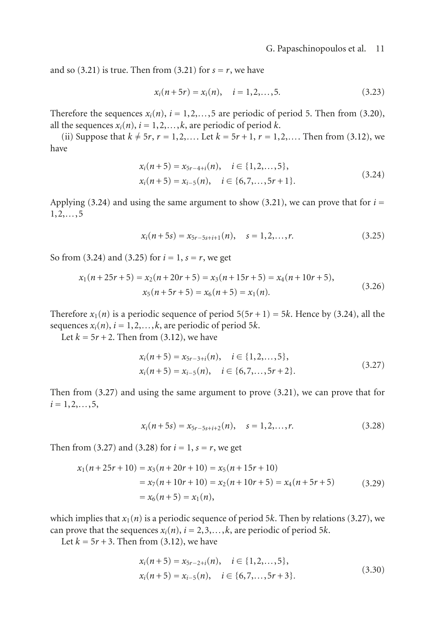and so  $(3.21)$  is true. Then from  $(3.21)$  for  $s = r$ , we have

<span id="page-10-0"></span>
$$
x_i(n+5r) = x_i(n), \quad i = 1, 2, \dots, 5.
$$
 (3.23)

Therefore the sequences  $x_i(n)$ ,  $i = 1, 2, \ldots, 5$  are periodic of period 5. Then from [\(3.20\)](#page-9-0), all the sequences  $x_i(n)$ ,  $i = 1, 2, \ldots, k$ , are periodic of period *k*.

(ii) Suppose that  $k \neq 5r$ ,  $r = 1, 2, \ldots$  Let  $k = 5r + 1$ ,  $r = 1, 2, \ldots$  Then from [\(3.12\)](#page-8-1), we have

$$
x_i(n+5) = x_{5r-4+i}(n), \quad i \in \{1, 2, \dots, 5\},
$$
  
\n
$$
x_i(n+5) = x_{i-5}(n), \quad i \in \{6, 7, \dots, 5r+1\}.
$$
\n(3.24)

Applying  $(3.24)$  and using the same argument to show  $(3.21)$ , we can prove that for  $i =$ 1,2,*...*,5

<span id="page-10-1"></span>
$$
x_i(n+5s) = x_{5r-5s+i+1}(n), \quad s = 1, 2, \dots, r.
$$
 (3.25)

So from [\(3.24\)](#page-10-0) and [\(3.25\)](#page-10-1) for  $i = 1$ ,  $s = r$ , we get

$$
x_1(n+25r+5) = x_2(n+20r+5) = x_3(n+15r+5) = x_4(n+10r+5),
$$
  
\n
$$
x_5(n+5r+5) = x_6(n+5) = x_1(n).
$$
\n(3.26)

Therefore  $x_1(n)$  is a periodic sequence of period  $5(5r + 1) = 5k$ . Hence by [\(3.24\)](#page-10-0), all the sequences  $x_i(n)$ ,  $i = 1, 2, \ldots, k$ , are periodic of period 5*k*.

Let  $k = 5r + 2$ . Then from [\(3.12\)](#page-8-1), we have

<span id="page-10-2"></span>
$$
x_i(n+5) = x_{5r-3+i}(n), \quad i \in \{1, 2, \dots, 5\},
$$
  
\n
$$
x_i(n+5) = x_{i-5}(n), \quad i \in \{6, 7, \dots, 5r+2\}.
$$
\n(3.27)

Then from [\(3.27\)](#page-10-2) and using the same argument to prove [\(3.21\)](#page-9-1), we can prove that for  $i = 1, 2, \ldots, 5,$ 

<span id="page-10-3"></span>
$$
x_i(n+5s) = x_{5r-5s+i+2}(n), \quad s = 1, 2, ..., r.
$$
 (3.28)

Then from [\(3.27\)](#page-10-2) and [\(3.28\)](#page-10-3) for  $i = 1$ ,  $s = r$ , we get

$$
x_1(n+25r+10) = x_3(n+20r+10) = x_5(n+15r+10)
$$
  
=  $x_7(n+10r+10) = x_2(n+10r+5) = x_4(n+5r+5)$  (3.29)  
=  $x_6(n+5) = x_1(n)$ ,

which implies that  $x_1(n)$  is a periodic sequence of period 5*k*. Then by relations [\(3.27\)](#page-10-2), we can prove that the sequences  $x_i(n)$ ,  $i = 2, 3, \ldots, k$ , are periodic of period 5*k*.

Let  $k = 5r + 3$ . Then from [\(3.12\)](#page-8-1), we have

<span id="page-10-4"></span>
$$
x_i(n+5) = x_{5r-2+i}(n), \quad i \in \{1, 2, ..., 5\},
$$
  
\n
$$
x_i(n+5) = x_{i-5}(n), \quad i \in \{6, 7, ..., 5r+3\}.
$$
\n(3.30)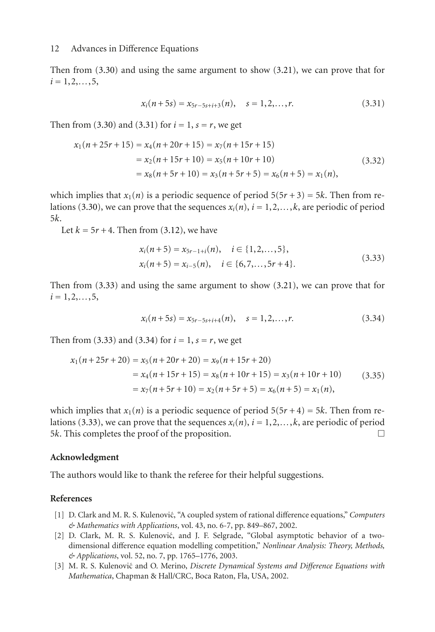Then from [\(3.30\)](#page-10-4) and using the same argument to show [\(3.21\)](#page-9-1), we can prove that for  $i = 1, 2, \ldots, 5,$ 

<span id="page-11-2"></span>
$$
x_i(n+5s) = x_{5r-5s+i+3}(n), \quad s = 1, 2, ..., r.
$$
 (3.31)

Then from [\(3.30\)](#page-10-4) and [\(3.31\)](#page-11-2) for  $i = 1$ ,  $s = r$ , we get

$$
x_1(n+25r+15) = x_4(n+20r+15) = x_7(n+15r+15)
$$
  
=  $x_2(n+15r+10) = x_5(n+10r+10)$  (3.32)  
=  $x_8(n+5r+10) = x_3(n+5r+5) = x_6(n+5) = x_1(n)$ ,

which implies that  $x_1(n)$  is a periodic sequence of period  $5(5r+3) = 5k$ . Then from re-lations [\(3.30\)](#page-10-4), we can prove that the sequences  $x_i(n)$ ,  $i = 1, 2, \ldots, k$ , are periodic of period 5*k*.

Let  $k = 5r + 4$ . Then from [\(3.12\)](#page-8-1), we have

<span id="page-11-3"></span>
$$
x_i(n+5) = x_{5r-1+i}(n), \quad i \in \{1, 2, ..., 5\},
$$
  
\n
$$
x_i(n+5) = x_{i-5}(n), \quad i \in \{6, 7, ..., 5r+4\}.
$$
\n(3.33)

Then from [\(3.33\)](#page-11-3) and using the same argument to show [\(3.21\)](#page-9-1), we can prove that for  $i = 1, 2, \ldots, 5,$ 

<span id="page-11-4"></span>
$$
x_i(n+5s) = x_{5r-5s+i+4}(n), \quad s = 1, 2, \dots, r.
$$
 (3.34)

Then from [\(3.33\)](#page-11-3) and [\(3.34\)](#page-11-4) for  $i = 1$ ,  $s = r$ , we get

$$
x_1(n+25r+20) = x_5(n+20r+20) = x_9(n+15r+20)
$$
  
=  $x_4(n+15r+15) = x_8(n+10r+15) = x_3(n+10r+10)$  (3.35)  
=  $x_7(n+5r+10) = x_2(n+5r+5) = x_6(n+5) = x_1(n)$ ,

which implies that  $x_1(n)$  is a periodic sequence of period  $5(5r+4) = 5k$ . Then from re-lations [\(3.33\)](#page-11-3), we can prove that the sequences  $x_i(n)$ ,  $i = 1, 2, \ldots, k$ , are periodic of period  $5k$ . This completes the proof of the proposition 5*k*. This completes the proof of the proposition. -

#### **Acknowledgment**

The authors would like to thank the referee for their helpful suggestions.

#### <span id="page-11-1"></span><span id="page-11-0"></span>**References**

- [1] D. Clark and M. R. S. Kulenović, "A coupled system of rational difference equations," *Computers & Mathematics with Applications*, vol. 43, no. 6-7, pp. 849–867, 2002.
- [2] D. Clark, M. R. S. Kulenović, and J. F. Selgrade, "Global asymptotic behavior of a twodimensional difference equation modelling competition," *Nonlinear Analysis: Theory, Methods, & Applications*, vol. 52, no. 7, pp. 1765–1776, 2003.
- [3] M. R. S. Kulenović and O. Merino, *Discrete Dynamical Systems and Difference Equations with Mathematica*, Chapman & Hall/CRC, Boca Raton, Fla, USA, 2002.